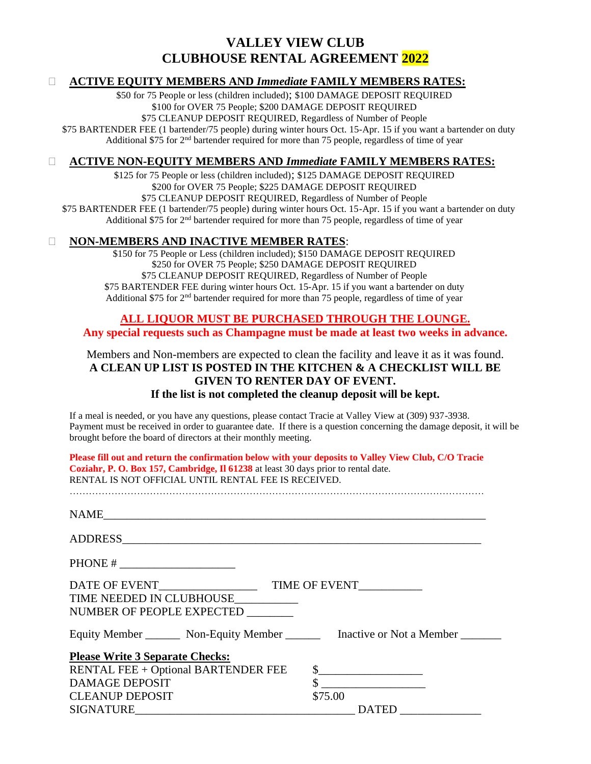### **VALLEY VIEW CLUB CLUBHOUSE RENTAL AGREEMENT 2022**

#### • **ACTIVE EQUITY MEMBERS AND** *Immediate* **FAMILY MEMBERS RATES:**

\$50 for 75 People or less (children included); \$100 DAMAGE DEPOSIT REQUIRED \$100 for OVER 75 People; \$200 DAMAGE DEPOSIT REQUIRED \$75 CLEANUP DEPOSIT REQUIRED, Regardless of Number of People \$75 BARTENDER FEE (1 bartender/75 people) during winter hours Oct. 15-Apr. 15 if you want a bartender on duty Additional \$75 for  $2<sup>nd</sup>$  bartender required for more than 75 people, regardless of time of year

### • **ACTIVE NON-EQUITY MEMBERS AND** *Immediate* **FAMILY MEMBERS RATES:**

\$125 for 75 People or less (children included); \$125 DAMAGE DEPOSIT REQUIRED \$200 for OVER 75 People; \$225 DAMAGE DEPOSIT REQUIRED \$75 CLEANUP DEPOSIT REQUIRED, Regardless of Number of People \$75 BARTENDER FEE (1 bartender/75 people) during winter hours Oct. 15-Apr. 15 if you want a bartender on duty Additional \$75 for 2<sup>nd</sup> bartender required for more than 75 people, regardless of time of year

#### • **NON-MEMBERS AND INACTIVE MEMBER RATES**:

\$150 for 75 People or Less (children included); \$150 DAMAGE DEPOSIT REQUIRED \$250 for OVER 75 People; \$250 DAMAGE DEPOSIT REQUIRED \$75 CLEANUP DEPOSIT REQUIRED, Regardless of Number of People \$75 BARTENDER FEE during winter hours Oct. 15-Apr. 15 if you want a bartender on duty Additional \$75 for 2nd bartender required for more than 75 people, regardless of time of year

### **ALL LIQUOR MUST BE PURCHASED THROUGH THE LOUNGE.**

**Any special requests such as Champagne must be made at least two weeks in advance.**

### Members and Non-members are expected to clean the facility and leave it as it was found. **A CLEAN UP LIST IS POSTED IN THE KITCHEN & A CHECKLIST WILL BE GIVEN TO RENTER DAY OF EVENT. If the list is not completed the cleanup deposit will be kept.**

If a meal is needed, or you have any questions, please contact Tracie at Valley View at (309) 937-3938. Payment must be received in order to guarantee date. If there is a question concerning the damage deposit, it will be brought before the board of directors at their monthly meeting.

**Please fill out and return the confirmation below with your deposits to Valley View Club, C/O Tracie Coziahr, P. O. Box 157, Cambridge, Il 61238** at least 30 days prior to rental date. RENTAL IS NOT OFFICIAL UNTIL RENTAL FEE IS RECEIVED.

…………………………………………………………………………………………………………………

NAME\_\_\_\_\_\_\_\_\_\_\_\_\_\_\_\_\_\_\_\_\_\_\_\_\_\_\_\_\_\_\_\_\_\_\_\_\_\_\_\_\_\_\_\_\_\_\_\_\_\_\_\_\_\_\_\_\_\_\_\_\_\_\_\_\_\_ ADDRESS PHONE # \_\_\_\_\_\_\_\_\_\_\_\_\_\_\_\_\_\_\_\_ DATE OF EVENT\_\_\_\_\_\_\_\_\_\_\_\_\_\_\_\_\_ TIME OF EVENT\_\_\_\_\_\_\_\_\_\_\_ TIME NEEDED IN CLUBHOUSE\_\_\_\_\_\_\_\_\_\_\_ NUMBER OF PEOPLE EXPECTED \_\_\_\_\_\_\_\_ Equity Member \_\_\_\_\_\_\_ Non-Equity Member \_\_\_\_\_\_\_ Inactive or Not a Member \_\_\_\_\_\_\_ **Please Write 3 Separate Checks:**  RENTAL FEE + Optional BARTENDER FEE  $\$$ DAMAGE DEPOSIT S CLEANUP DEPOSIT \$75.00 SIGNATURE\_\_\_\_\_\_\_\_\_\_\_\_\_\_\_\_\_\_\_\_\_\_\_\_\_\_\_\_\_\_\_\_\_\_\_\_\_\_ DATED \_\_\_\_\_\_\_\_\_\_\_\_\_\_